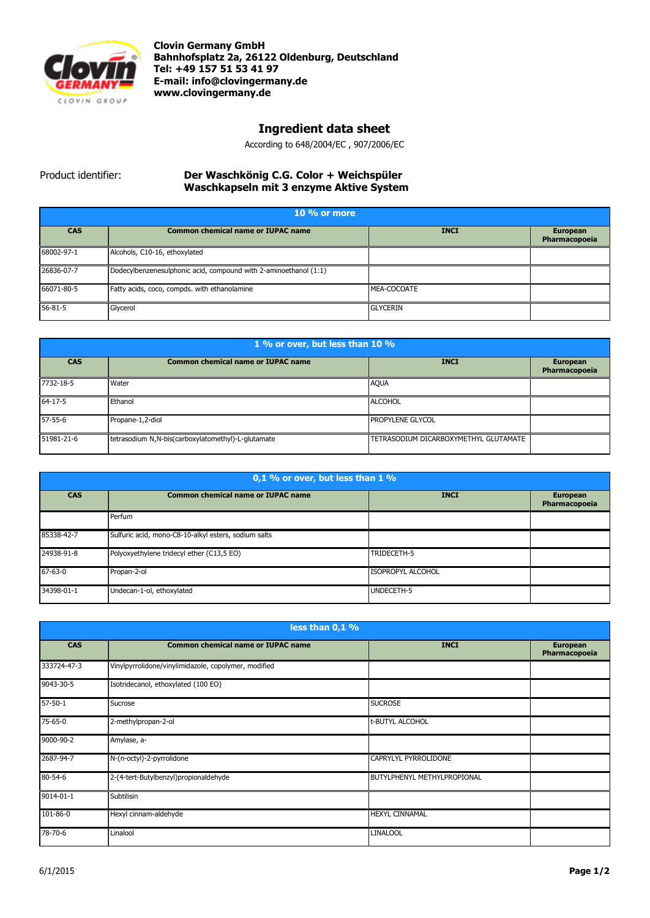

**Clovin Germany GmbH Bahnhofsplatz 2a, 26122 Oldenburg, Deutschland Tel: +49 157 51 53 41 97 E-mail[: info@clovingermany.de](mailto:info@clovingermany.de) www.clovingermany.de**

## **Ingredient data sheet**

According to 648/2004/EC , 907/2006/EC

## Product identifier: **Der Waschkӧnig C.G. Color + Weichspüler Waschkapseln mit 3 enzyme Aktive System**

| $10\%$ or more |                                                                  |                 |                                  |
|----------------|------------------------------------------------------------------|-----------------|----------------------------------|
| <b>CAS</b>     | <b>Common chemical name or IUPAC name</b>                        | <b>INCI</b>     | <b>European</b><br>Pharmacopoeia |
| 68002-97-1     | Alcohols, C10-16, ethoxylated                                    |                 |                                  |
| 26836-07-7     | Dodecylbenzenesulphonic acid, compound with 2-aminoethanol (1:1) |                 |                                  |
| 66071-80-5     | Fatty acids, coco, compds. with ethanolamine                     | MEA-COCOATE     |                                  |
| $56 - 81 - 5$  | Glycerol                                                         | <b>GLYCERIN</b> |                                  |

| 1 % or over, but less than 10 % |                                                    |                                       |                                  |
|---------------------------------|----------------------------------------------------|---------------------------------------|----------------------------------|
| <b>CAS</b>                      | <b>Common chemical name or IUPAC name</b>          | <b>INCI</b>                           | <b>European</b><br>Pharmacopoeia |
| 7732-18-5                       | Water                                              | <b>AQUA</b>                           |                                  |
| $64 - 17 - 5$                   | Ethanol                                            | <b>ALCOHOL</b>                        |                                  |
| 57-55-6                         | Propane-1,2-diol                                   | <b>PROPYLENE GLYCOL</b>               |                                  |
| 51981-21-6                      | tetrasodium N,N-bis(carboxylatomethyl)-L-glutamate | TETRASODIUM DICARBOXYMETHYL GLUTAMATE |                                  |

| 0,1 % or over, but less than 1 % |                                                      |                          |                                  |
|----------------------------------|------------------------------------------------------|--------------------------|----------------------------------|
| <b>CAS</b>                       | <b>Common chemical name or IUPAC name</b>            | <b>INCI</b>              | <b>European</b><br>Pharmacopoeia |
|                                  | Perfum                                               |                          |                                  |
| 85338-42-7                       | Sulfuric acid, mono-C8-10-alkyl esters, sodium salts |                          |                                  |
| 24938-91-8                       | Polyoxyethylene tridecyl ether (C13,5 EO)            | TRIDECETH-5              |                                  |
| $67 - 63 - 0$                    | Propan-2-ol                                          | <b>ISOPROPYL ALCOHOL</b> |                                  |
| 34398-01-1                       | Undecan-1-ol, ethoxylated                            | UNDECETH-5               |                                  |

| less than 0,1 % |                                                      |                             |                                  |
|-----------------|------------------------------------------------------|-----------------------------|----------------------------------|
| <b>CAS</b>      | <b>Common chemical name or IUPAC name</b>            | <b>INCI</b>                 | <b>European</b><br>Pharmacopoeia |
| 333724-47-3     | Vinylpyrrolidone/vinylimidazole, copolymer, modified |                             |                                  |
| 9043-30-5       | Isotridecanol, ethoxylated (100 EO)                  |                             |                                  |
| $57 - 50 - 1$   | Sucrose                                              | <b>SUCROSE</b>              |                                  |
| 75-65-0         | 2-methylpropan-2-ol                                  | t-BUTYL ALCOHOL             |                                  |
| 9000-90-2       | Amylase, a-                                          |                             |                                  |
| 2687-94-7       | N-(n-octyl)-2-pyrrolidone                            | CAPRYLYL PYRROLIDONE        |                                  |
| 80-54-6         | 2-(4-tert-Butylbenzyl)propionaldehyde                | BUTYLPHENYL METHYLPROPIONAL |                                  |
| 9014-01-1       | Subtilisin                                           |                             |                                  |
| 101-86-0        | Hexyl cinnam-aldehyde                                | <b>HEXYL CINNAMAL</b>       |                                  |
| 78-70-6         | Linalool                                             | <b>LINALOOL</b>             |                                  |